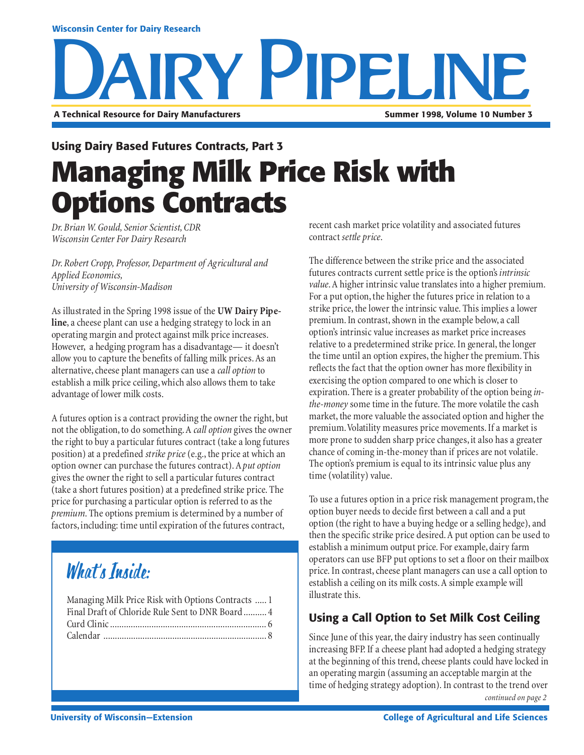#### **Wisconsin Center for Dairy Research**

# **RY PIPELI A Technical Resource for Dairy Manufacturers Summer 1998, Volume 10 Number 3**

**Managing Milk Price Risk with Options Contracts Using Dairy Based Futures Contracts, Part 3**

*Dr. Brian W. Gould, Senior Scientist, CDR Wisconsin Center For Dairy Research*

*Dr. Robert Cropp, Professor, Department of Agricultural and Applied Economics, University of Wisconsin-Madison*

As illustrated in the Spring 1998 issue of the **UW Dairy Pipeline**, a cheese plant can use a hedging strategy to lock in an operating margin and protect against milk price increases. However, a hedging program has a disadvantage— it doesn't allow you to capture the benefits of falling milk prices. As an alternative, cheese plant managers can use a *call option* to establish a milk price ceiling, which also allows them to take advantage of lower milk costs.

A futures option is a contract providing the owner the right, but not the obligation, to do something. A *call option* gives the owner the right to buy a particular futures contract (take a long futures position) at a predefined *strike price* (e.g., the price at which an option owner can purchase the futures contract). A *put option* gives the owner the right to sell a particular futures contract (take a short futures position) at a predefined strike price. The price for purchasing a particular option is referred to as the *premium*. The options premium is determined by a number of factors, including: time until expiration of the futures contract,

## What's Inside:

| Managing Milk Price Risk with Options Contracts  1 |  |
|----------------------------------------------------|--|
| Final Draft of Chloride Rule Sent to DNR Board 4   |  |
|                                                    |  |
|                                                    |  |

recent cash market price volatility and associated futures contract *settle price*.

The difference between the strike price and the associated futures contracts current settle price is the option's *intrinsic value*. A higher intrinsic value translates into a higher premium. For a put option, the higher the futures price in relation to a strike price, the lower the intrinsic value. This implies a lower premium. In contrast, shown in the example below, a call option's intrinsic value increases as market price increases relative to a predetermined strike price. In general, the longer the time until an option expires, the higher the premium. This reflects the fact that the option owner has more flexibility in exercising the option compared to one which is closer to expiration. There is a greater probability of the option being *inthe-money* some time in the future. The more volatile the cash market, the more valuable the associated option and higher the premium. Volatility measures price movements. If a market is more prone to sudden sharp price changes, it also has a greater chance of coming in-the-money than if prices are not volatile. The option's premium is equal to its intrinsic value plus any time (volatility) value.

To use a futures option in a price risk management program, the option buyer needs to decide first between a call and a put option (the right to have a buying hedge or a selling hedge), and then the specific strike price desired. A put option can be used to establish a minimum output price. For example, dairy farm operators can use BFP put options to set a floor on their mailbox price. In contrast, cheese plant managers can use a call option to establish a ceiling on its milk costs. A simple example will illustrate this.

#### **Using a Call Option to Set Milk Cost Ceiling**

Since June of this year, the dairy industry has seen continually increasing BFP. If a cheese plant had adopted a hedging strategy at the beginning of this trend, cheese plants could have locked in an operating margin (assuming an acceptable margin at the time of hedging strategy adoption). In contrast to the trend over *continued on page 2*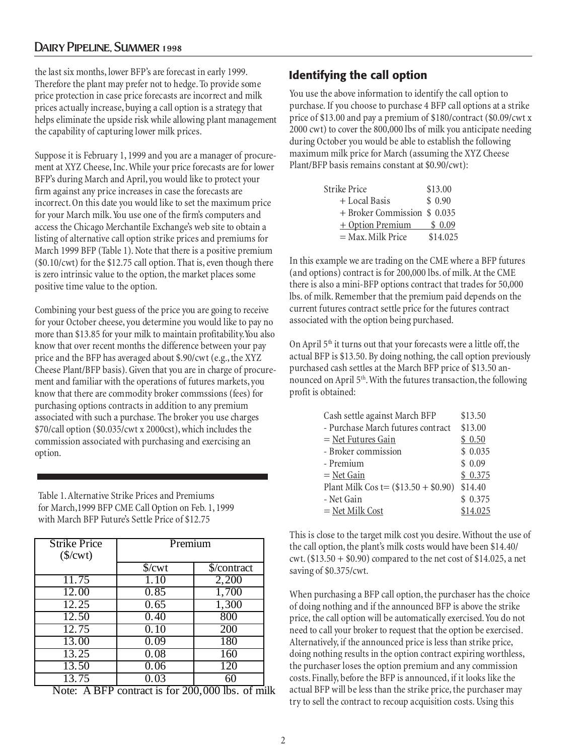#### Dairy Pipeline, Summer 1998

the last six months, lower BFP's are forecast in early 1999. Therefore the plant may prefer not to hedge. To provide some price protection in case price forecasts are incorrect and milk prices actually increase, buying a call option is a strategy that helps eliminate the upside risk while allowing plant management the capability of capturing lower milk prices.

Suppose it is February 1, 1999 and you are a manager of procurement at XYZ Cheese, Inc. While your price forecasts are for lower BFP's during March and April, you would like to protect your firm against any price increases in case the forecasts are incorrect. On this date you would like to set the maximum price for your March milk. You use one of the firm's computers and access the Chicago Merchantile Exchange's web site to obtain a listing of alternative call option strike prices and premiums for March 1999 BFP (Table 1). Note that there is a positive premium (\$0.10/cwt) for the \$12.75 call option. That is, even though there is zero intrinsic value to the option, the market places some positive time value to the option.

Combining your best guess of the price you are going to receive for your October cheese, you determine you would like to pay no more than \$13.85 for your milk to maintain profitability.You also know that over recent months the difference between your pay price and the BFP has averaged about \$.90/cwt (e.g., the XYZ Cheese Plant/BFP basis). Given that you are in charge of procurement and familiar with the operations of futures markets, you know that there are commodity broker commssions (fees) for purchasing options contracts in addition to any premium associated with such a purchase. The broker you use charges \$70/call option (\$0.035/cwt x 2000cst), which includes the commission associated with purchasing and exercising an option.

Table 1. Alternative Strike Prices and Premiums for March,1999 BFP CME Call Option on Feb. 1, 1999 with March BFP Future's Settle Price of \$12.75

| <b>Strike Price</b><br>$(\frac{\sqrt{2}}{2})$ | Premium                |                                 |  |
|-----------------------------------------------|------------------------|---------------------------------|--|
|                                               | $\sqrt{\text{cwt}}$    | \$/contract                     |  |
| 11.75                                         | 1.10                   | 2,200                           |  |
| 12.00                                         | 0.85                   | 1,700                           |  |
| 12.25                                         | 0.65                   | 1,300                           |  |
| $\overline{12.50}$                            | 0.40                   | 800                             |  |
| 12.75                                         | 0.10                   | 200                             |  |
| 13.00                                         | 0.09                   | 180                             |  |
| 13.25                                         | 0.08                   | 160                             |  |
| 13.50                                         | 0.06                   | 120                             |  |
| 13.75<br>$\blacksquare$<br>$\sqrt{2}$         | 0.03<br>$\overline{ }$ | 60<br>$200,000$ $\mu$<br>$\sim$ |  |

Note: A BFP contract is for 200,000 lbs. of milk

#### **Identifying the call option**

You use the above information to identify the call option to purchase. If you choose to purchase 4 BFP call options at a strike price of \$13.00 and pay a premium of \$180/contract (\$0.09/cwt x 2000 cwt) to cover the 800,000 lbs of milk you anticipate needing during October you would be able to establish the following maximum milk price for March (assuming the XYZ Cheese Plant/BFP basis remains constant at \$0.90/cwt):

| Strike Price                 | \$13.00  |
|------------------------------|----------|
| + Local Basis                | \$0.90   |
| + Broker Commission \$ 0.035 |          |
| $+$ Option Premium           | \$0.09   |
| $=$ Max. Milk Price          | \$14.025 |

In this example we are trading on the CME where a BFP futures (and options) contract is for 200,000 lbs. of milk. At the CME there is also a mini-BFP options contract that trades for 50,000 lbs. of milk. Remember that the premium paid depends on the current futures contract settle price for the futures contract associated with the option being purchased.

On April  $5<sup>th</sup>$  it turns out that your forecasts were a little off, the actual BFP is \$13.50. By doing nothing, the call option previously purchased cash settles at the March BFP price of \$13.50 announced on April 5<sup>th</sup>. With the futures transaction, the following profit is obtained:

| Cash settle against March BFP          | \$13.50  |
|----------------------------------------|----------|
| - Purchase March futures contract      | \$13.00  |
| $=$ Net Futures Gain                   | \$0.50   |
| - Broker commission                    | \$0.035  |
| - Premium                              | \$0.09   |
| $=$ Net Gain                           | \$0.375  |
| Plant Milk Cos t= $(\$13.50 + \$0.90)$ | \$14.40  |
| - Net Gain                             | \$0.375  |
| $=$ Net Milk Cost                      | \$14.025 |

This is close to the target milk cost you desire. Without the use of the call option, the plant's milk costs would have been \$14.40/ cwt.  $(\$13.50 + \$0.90)$  compared to the net cost of  $\$14.025$ , a net saving of \$0.375/cwt.

When purchasing a BFP call option, the purchaser has the choice of doing nothing and if the announced BFP is above the strike price, the call option will be automatically exercised. You do not need to call your broker to request that the option be exercised. Alternatively, if the announced price is less than strike price, doing nothing results in the option contract expiring worthless, the purchaser loses the option premium and any commission costs. Finally, before the BFP is announced, if it looks like the actual BFP will be less than the strike price, the purchaser may try to sell the contract to recoup acquisition costs. Using this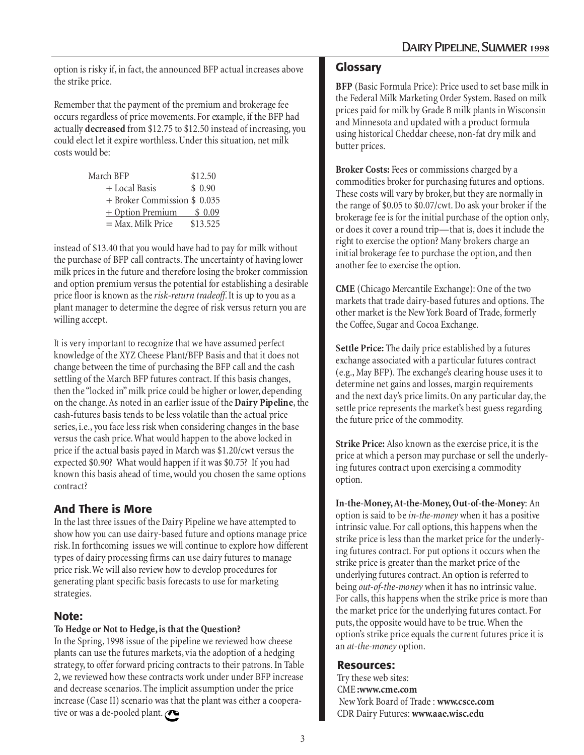option is risky if, in fact, the announced BFP actual increases above the strike price.

Remember that the payment of the premium and brokerage fee occurs regardless of price movements. For example, if the BFP had actually **decreased** from \$12.75 to \$12.50 instead of increasing, you could elect let it expire worthless. Under this situation, net milk costs would be:

| March BFP                    | \$12.50  |
|------------------------------|----------|
| + Local Basis                | \$0.90   |
| + Broker Commission \$ 0.035 |          |
| $+$ Option Premium           | \$0.09   |
| = Max. Milk Price            | \$13.525 |

instead of \$13.40 that you would have had to pay for milk without the purchase of BFP call contracts. The uncertainty of having lower milk prices in the future and therefore losing the broker commission and option premium versus the potential for establishing a desirable price floor is known as the *risk-return tradeoff*. It is up to you as a plant manager to determine the degree of risk versus return you are willing accept.

It is very important to recognize that we have assumed perfect knowledge of the XYZ Cheese Plant/BFP Basis and that it does not change between the time of purchasing the BFP call and the cash settling of the March BFP futures contract. If this basis changes, then the "locked in" milk price could be higher or lower, depending on the change. As noted in an earlier issue of the **Dairy Pipeline**, the cash-futures basis tends to be less volatile than the actual price series, i.e., you face less risk when considering changes in the base versus the cash price. What would happen to the above locked in price if the actual basis payed in March was \$1.20/cwt versus the expected \$0.90? What would happen if it was \$0.75? If you had known this basis ahead of time, would you chosen the same options contract?

#### **And There is More**

In the last three issues of the Dairy Pipeline we have attempted to show how you can use dairy-based future and options manage price risk. In forthcoming issues we will continue to explore how different types of dairy processing firms can use dairy futures to manage price risk. We will also review how to develop procedures for generating plant specific basis forecasts to use for marketing strategies.

#### **Note:**

#### **To Hedge or Not to Hedge, is that the Question?**

In the Spring, 1998 issue of the pipeline we reviewed how cheese plants can use the futures markets, via the adoption of a hedging strategy, to offer forward pricing contracts to their patrons. In Table 2, we reviewed how these contracts work under under BFP increase and decrease scenarios. The implicit assumption under the price increase (Case II) scenario was that the plant was either a cooperative or was a de-pooled plant.

#### **Glossary**

**BFP** (Basic Formula Price): Price used to set base milk in the Federal Milk Marketing Order System. Based on milk prices paid for milk by Grade B milk plants in Wisconsin and Minnesota and updated with a product formula using historical Cheddar cheese, non-fat dry milk and butter prices.

**Broker Costs:** Fees or commissions charged by a commodities broker for purchasing futures and options. These costs will vary by broker, but they are normally in the range of \$0.05 to \$0.07/cwt. Do ask your broker if the brokerage fee is for the initial purchase of the option only, or does it cover a round trip—that is, does it include the right to exercise the option? Many brokers charge an initial brokerage fee to purchase the option, and then another fee to exercise the option.

**CME** (Chicago Mercantile Exchange): One of the two markets that trade dairy-based futures and options. The other market is the New York Board of Trade, formerly the Coffee, Sugar and Cocoa Exchange.

**Settle Price:** The daily price established by a futures exchange associated with a particular futures contract (e.g., May BFP). The exchange's clearing house uses it to determine net gains and losses, margin requirements and the next day's price limits. On any particular day, the settle price represents the market's best guess regarding the future price of the commodity.

**Strike Price:** Also known as the exercise price, it is the price at which a person may purchase or sell the underlying futures contract upon exercising a commodity option.

**In-the-Money, At-the-Money, Out-of-the-Money**: An option is said to be *in-the-money* when it has a positive intrinsic value. For call options, this happens when the strike price is less than the market price for the underlying futures contract. For put options it occurs when the strike price is greater than the market price of the underlying futures contract. An option is referred to being *out-of-the-money* when it has no intrinsic value. For calls, this happens when the strike price is more than the market price for the underlying futures contact. For puts, the opposite would have to be true. When the option's strike price equals the current futures price it is an *at-the-money* option.

#### **Resources:**

Try these web sites: CME **:www.cme.com** New York Board of Trade : **www.csce.com** CDR Dairy Futures: **www.aae.wisc.edu**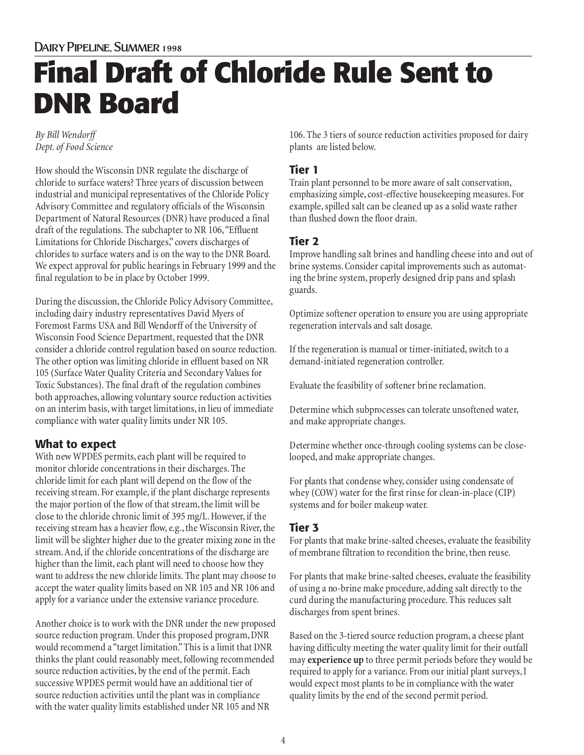## Dairy Pipeline, Summer 1998 **Final Draft of Chloride Rule Sent to DNR Board**

#### *By Bill Wendorff Dept. of Food Science*

How should the Wisconsin DNR regulate the discharge of chloride to surface waters? Three years of discussion between industrial and municipal representatives of the Chloride Policy Advisory Committee and regulatory officials of the Wisconsin Department of Natural Resources (DNR) have produced a final draft of the regulations. The subchapter to NR 106, "Effluent Limitations for Chloride Discharges," covers discharges of chlorides to surface waters and is on the way to the DNR Board. We expect approval for public hearings in February 1999 and the final regulation to be in place by October 1999.

During the discussion, the Chloride Policy Advisory Committee, including dairy industry representatives David Myers of Foremost Farms USA and Bill Wendorff of the University of Wisconsin Food Science Department, requested that the DNR consider a chloride control regulation based on source reduction. The other option was limiting chloride in effluent based on NR 105 (Surface Water Quality Criteria and Secondary Values for Toxic Substances). The final draft of the regulation combines both approaches, allowing voluntary source reduction activities on an interim basis, with target limitations, in lieu of immediate compliance with water quality limits under NR 105.

#### **What to expect**

With new WPDES permits, each plant will be required to monitor chloride concentrations in their discharges. The chloride limit for each plant will depend on the flow of the receiving stream. For example, if the plant discharge represents the major portion of the flow of that stream, the limit will be close to the chloride chronic limit of 395 mg/L. However, if the receiving stream has a heavier flow, e.g., the Wisconsin River, the limit will be slighter higher due to the greater mixing zone in the stream. And, if the chloride concentrations of the discharge are higher than the limit, each plant will need to choose how they want to address the new chloride limits. The plant may choose to accept the water quality limits based on NR 105 and NR 106 and apply for a variance under the extensive variance procedure.

Another choice is to work with the DNR under the new proposed source reduction program. Under this proposed program, DNR would recommend a "target limitation." This is a limit that DNR thinks the plant could reasonably meet, following recommended source reduction activities, by the end of the permit. Each successive WPDES permit would have an additional tier of source reduction activities until the plant was in compliance with the water quality limits established under NR 105 and NR

106. The 3 tiers of source reduction activities proposed for dairy plants are listed below.

#### **Tier 1**

Train plant personnel to be more aware of salt conservation, emphasizing simple, cost-effective housekeeping measures. For example, spilled salt can be cleaned up as a solid waste rather than flushed down the floor drain.

#### **Tier 2**

Improve handling salt brines and handling cheese into and out of brine systems. Consider capital improvements such as automating the brine system, properly designed drip pans and splash guards.

Optimize softener operation to ensure you are using appropriate regeneration intervals and salt dosage.

If the regeneration is manual or timer-initiated, switch to a demand-initiated regeneration controller.

Evaluate the feasibility of softener brine reclamation.

Determine which subprocesses can tolerate unsoftened water, and make appropriate changes.

Determine whether once-through cooling systems can be closelooped, and make appropriate changes.

For plants that condense whey, consider using condensate of whey (COW) water for the first rinse for clean-in-place (CIP) systems and for boiler makeup water.

#### **Tier 3**

For plants that make brine-salted cheeses, evaluate the feasibility of membrane filtration to recondition the brine, then reuse.

For plants that make brine-salted cheeses, evaluate the feasibility of using a no-brine make procedure, adding salt directly to the curd during the manufacturing procedure. This reduces salt discharges from spent brines.

Based on the 3-tiered source reduction program, a cheese plant having difficulty meeting the water quality limit for their outfall may **experience up** to three permit periods before they would be required to apply for a variance. From our initial plant surveys, I would expect most plants to be in compliance with the water quality limits by the end of the second permit period.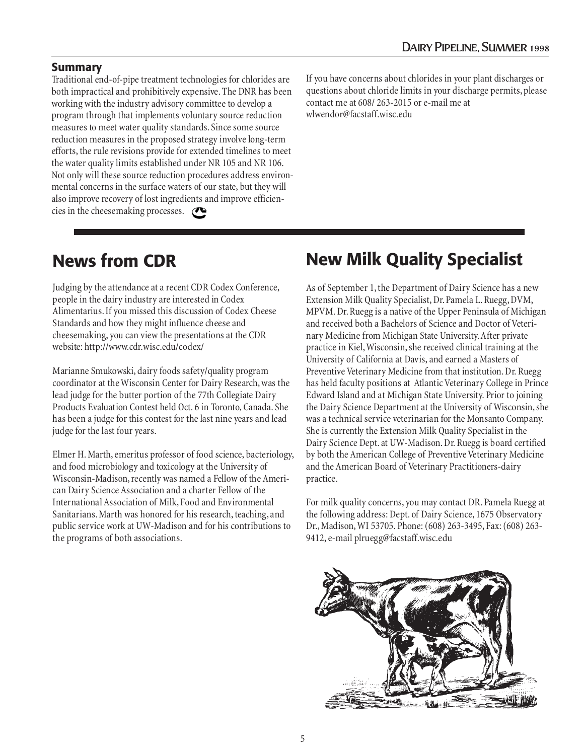#### **Summary**

Traditional end-of-pipe treatment technologies for chlorides are both impractical and prohibitively expensive. The DNR has been working with the industry advisory committee to develop a program through that implements voluntary source reduction measures to meet water quality standards. Since some source reduction measures in the proposed strategy involve long-term efforts, the rule revisions provide for extended timelines to meet the water quality limits established under NR 105 and NR 106. Not only will these source reduction procedures address environmental concerns in the surface waters of our state, but they will also improve recovery of lost ingredients and improve efficiencies in the cheesemaking processes.  $\bullet$ 

If you have concerns about chlorides in your plant discharges or questions about chloride limits in your discharge permits, please contact me at 608/ 263-2015 or e-mail me at wlwendor@facstaff.wisc.edu

### **News from CDR**

Judging by the attendance at a recent CDR Codex Conference, people in the dairy industry are interested in Codex Alimentarius. If you missed this discussion of Codex Cheese Standards and how they might influence cheese and cheesemaking, you can view the presentations at the CDR website: http://www.cdr.wisc.edu/codex/

Marianne Smukowski, dairy foods safety/quality program coordinator at the Wisconsin Center for Dairy Research, was the lead judge for the butter portion of the 77th Collegiate Dairy Products Evaluation Contest held Oct. 6 in Toronto, Canada. She has been a judge for this contest for the last nine years and lead judge for the last four years.

Elmer H. Marth, emeritus professor of food science, bacteriology, and food microbiology and toxicology at the University of Wisconsin-Madison, recently was named a Fellow of the American Dairy Science Association and a charter Fellow of the International Association of Milk, Food and Environmental Sanitarians. Marth was honored for his research, teaching, and public service work at UW-Madison and for his contributions to the programs of both associations.

## **New Milk Quality Specialist**

As of September 1, the Department of Dairy Science has a new Extension Milk Quality Specialist, Dr. Pamela L. Ruegg, DVM, MPVM. Dr. Ruegg is a native of the Upper Peninsula of Michigan and received both a Bachelors of Science and Doctor of Veterinary Medicine from Michigan State University. After private practice in Kiel, Wisconsin, she received clinical training at the University of California at Davis, and earned a Masters of Preventive Veterinary Medicine from that institution. Dr. Ruegg has held faculty positions at Atlantic Veterinary College in Prince Edward Island and at Michigan State University. Prior to joining the Dairy Science Department at the University of Wisconsin, she was a technical service veterinarian for the Monsanto Company. She is currently the Extension Milk Quality Specialist in the Dairy Science Dept. at UW-Madison. Dr. Ruegg is board certified by both the American College of Preventive Veterinary Medicine and the American Board of Veterinary Practitioners-dairy practice.

For milk quality concerns, you may contact DR. Pamela Ruegg at the following address: Dept. of Dairy Science, 1675 Observatory Dr., Madison, WI 53705. Phone: (608) 263-3495, Fax: (608) 263- 9412, e-mail plruegg@facstaff.wisc.edu

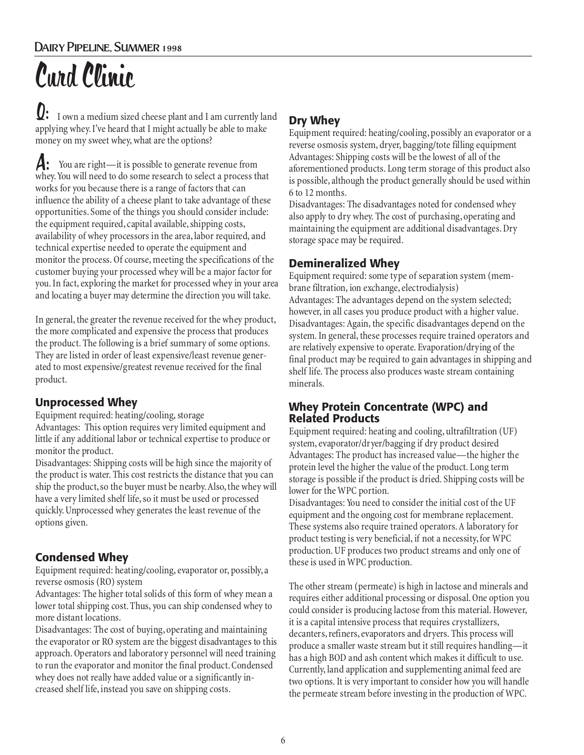# Curd Clinic

 I own a medium sized cheese plant and I am currently land Q: applying whey. I've heard that I might actually be able to make money on my sweet whey, what are the options?

 You are right—it is possible to generate revenue from whey. You will need to do some research to select a process that works for you because there is a range of factors that can influence the ability of a cheese plant to take advantage of these opportunities. Some of the things you should consider include: the equipment required, capital available, shipping costs, availability of whey processors in the area, labor required, and technical expertise needed to operate the equipment and monitor the process. Of course, meeting the specifications of the customer buying your processed whey will be a major factor for you. In fact, exploring the market for processed whey in your area and locating a buyer may determine the direction you will take. A:

In general, the greater the revenue received for the whey product, the more complicated and expensive the process that produces the product. The following is a brief summary of some options. They are listed in order of least expensive/least revenue generated to most expensive/greatest revenue received for the final product.

#### **Unprocessed Whey**

Equipment required: heating/cooling, storage Advantages: This option requires very limited equipment and little if any additional labor or technical expertise to produce or monitor the product.

Disadvantages: Shipping costs will be high since the majority of the product is water. This cost restricts the distance that you can ship the product, so the buyer must be nearby. Also, the whey will have a very limited shelf life, so it must be used or processed quickly. Unprocessed whey generates the least revenue of the options given.

#### **Condensed Whey**

Equipment required: heating/cooling, evaporator or, possibly, a reverse osmosis (RO) system

Advantages: The higher total solids of this form of whey mean a lower total shipping cost. Thus, you can ship condensed whey to more distant locations.

Disadvantages: The cost of buying, operating and maintaining the evaporator or RO system are the biggest disadvantages to this approach. Operators and laboratory personnel will need training to run the evaporator and monitor the final product. Condensed whey does not really have added value or a significantly increased shelf life, instead you save on shipping costs.

#### **Dry Whey**

Equipment required: heating/cooling, possibly an evaporator or a reverse osmosis system, dryer, bagging/tote filling equipment Advantages: Shipping costs will be the lowest of all of the aforementioned products. Long term storage of this product also is possible, although the product generally should be used within 6 to 12 months.

Disadvantages: The disadvantages noted for condensed whey also apply to dry whey. The cost of purchasing, operating and maintaining the equipment are additional disadvantages. Dry storage space may be required.

#### **Demineralized Whey**

Equipment required: some type of separation system (membrane filtration, ion exchange, electrodialysis) Advantages: The advantages depend on the system selected; however, in all cases you produce product with a higher value. Disadvantages: Again, the specific disadvantages depend on the system. In general, these processes require trained operators and are relatively expensive to operate. Evaporation/drying of the final product may be required to gain advantages in shipping and shelf life. The process also produces waste stream containing minerals.

#### **Whey Protein Concentrate (WPC) and Related Products**

Equipment required: heating and cooling, ultrafiltration (UF) system, evaporator/dryer/bagging if dry product desired Advantages: The product has increased value—the higher the protein level the higher the value of the product. Long term storage is possible if the product is dried. Shipping costs will be lower for the WPC portion.

Disadvantages: You need to consider the initial cost of the UF equipment and the ongoing cost for membrane replacement. These systems also require trained operators. A laboratory for product testing is very beneficial, if not a necessity, for WPC production. UF produces two product streams and only one of these is used in WPC production.

The other stream (permeate) is high in lactose and minerals and requires either additional processing or disposal. One option you could consider is producing lactose from this material. However, it is a capital intensive process that requires crystallizers, decanters, refiners, evaporators and dryers. This process will produce a smaller waste stream but it still requires handling—it has a high BOD and ash content which makes it difficult to use. Currently, land application and supplementing animal feed are two options. It is very important to consider how you will handle the permeate stream before investing in the production of WPC.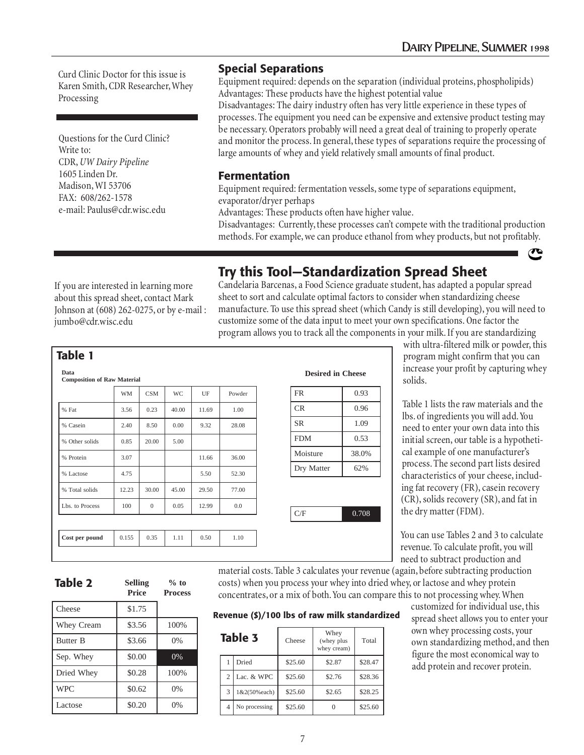Curd Clinic Doctor for this issue is Karen Smith, CDR Researcher, Whey Processing

Questions for the Curd Clinic? Write to: CDR, *UW Dairy Pipeline* 1605 Linden Dr. Madison, WI 53706 FAX: 608/262-1578 e-mail: Paulus@cdr.wisc.edu

#### **Special Separations**

Equipment required: depends on the separation (individual proteins, phospholipids) Advantages: These products have the highest potential value

Disadvantages: The dairy industry often has very little experience in these types of processes. The equipment you need can be expensive and extensive product testing may be necessary. Operators probably will need a great deal of training to properly operate and monitor the process. In general, these types of separations require the processing of large amounts of whey and yield relatively small amounts of final product.

#### **Fermentation**

Equipment required: fermentation vessels, some type of separations equipment, evaporator/dryer perhaps

Advantages: These products often have higher value.

Disadvantages: Currently, these processes can't compete with the traditional production methods. For example, we can produce ethanol from whey products, but not profitably.

If you are interested in learning more about this spread sheet, contact Mark Johnson at (608) 262-0275, or by e-mail : jumbo@cdr.wisc.edu

### **Try this Tool—Standardization Spread Sheet**

Candelaria Barcenas, a Food Science graduate student, has adapted a popular spread sheet to sort and calculate optimal factors to consider when standardizing cheese manufacture. To use this spread sheet (which Candy is still developing), you will need to customize some of the data input to meet your own specifications. One factor the program allows you to track all the components in your milk. If you are standardizing

|                 | <b>WM</b> | <b>CSM</b>   | <b>WC</b> | UF    | Powder | <b>FR</b>  | 0.93  |
|-----------------|-----------|--------------|-----------|-------|--------|------------|-------|
| % Fat           | 3.56      | 0.23         | 40.00     | 11.69 | 1.00   | <b>CR</b>  | 0.96  |
| % Casein        | 2.40      | 8.50         | 0.00      | 9.32  | 28.08  | <b>SR</b>  | 1.09  |
| % Other solids  | 0.85      | 20.00        | 5.00      |       |        | <b>FDM</b> | 0.53  |
| % Protein       | 3.07      |              |           | 11.66 | 36.00  | Moisture   | 38.0% |
| % Lactose       | 4.75      |              |           | 5.50  | 52.30  | Dry Matter | 62%   |
| % Total solids  | 12.23     | 30.00        | 45.00     | 29.50 | 77.00  |            |       |
| Lbs. to Process | 100       | $\mathbf{0}$ | 0.05      | 12.99 | 0.0    |            |       |
|                 |           |              |           |       |        | C/F        | 0.708 |
| Cost per pound  | 0.155     | 0.35         | 1.11      | 0.50  | 1.10   |            |       |

with ultra-filtered milk or powder, this program might confirm that you can increase your profit by capturing whey solids.

Table 1 lists the raw materials and the lbs. of ingredients you will add. You need to enter your own data into this initial screen, our table is a hypothetical example of one manufacturer's process. The second part lists desired characteristics of your cheese, including fat recovery (FR), casein recovery (CR), solids recovery (SR), and fat in the dry matter (FDM).

You can use Tables 2 and 3 to calculate revenue. To calculate profit, you will need to subtract production and

## **Table 2**

**Table 1**

**Selling % to**

|                 | <b>Price</b> | <b>Process</b> |
|-----------------|--------------|----------------|
| Cheese          | \$1.75       |                |
| Whey Cream      | \$3.56       | 100%           |
| <b>Butter B</b> | \$3.66       | 0%             |
| Sep. Whey       | \$0.00       | 0%             |
| Dried Whey      | \$0.28       | 100%           |
| <b>WPC</b>      | \$0.62       | 0%             |
| Lactose         | \$0.20       | 0%             |

material costs. Table 3 calculates your revenue (again, before subtracting production costs) when you process your whey into dried whey, or lactose and whey protein concentrates, or a mix of both. You can compare this to not processing whey. When

#### **Revenue (\$)/100 lbs of raw milk standardized**

|   | Table 3       | Cheese  | Whey<br>(whey plus<br>whey cream) | Total   |
|---|---------------|---------|-----------------------------------|---------|
|   | Dried         | \$25.60 | \$2.87                            | \$28.47 |
| 2 | Lac. & WPC    | \$25.60 | \$2.76                            | \$28.36 |
| 3 | 1&2(50% each) | \$25.60 | \$2.65                            | \$28.25 |
| 4 | No processing | \$25.60 |                                   | \$25.60 |

customized for individual use, this spread sheet allows you to enter your own whey processing costs, your own standardizing method, and then figure the most economical way to add protein and recover protein.